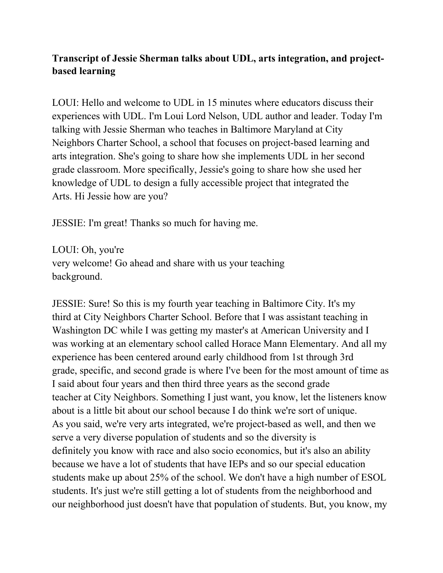## **Transcript of Jessie Sherman talks about UDL, arts integration, and projectbased learning**

LOUI: Hello and welcome to UDL in 15 minutes where educators discuss their experiences with UDL. I'm Loui Lord Nelson, UDL author and leader. Today I'm talking with Jessie Sherman who teaches in Baltimore Maryland at City Neighbors Charter School, a school that focuses on project-based learning and arts integration. She's going to share how she implements UDL in her second grade classroom. More specifically, Jessie's going to share how she used her knowledge of UDL to design a fully accessible project that integrated the Arts. Hi Jessie how are you?

JESSIE: I'm great! Thanks so much for having me.

LOUI: Oh, you're very welcome! Go ahead and share with us your teaching background.

JESSIE: Sure! So this is my fourth year teaching in Baltimore City. It's my third at City Neighbors Charter School. Before that I was assistant teaching in Washington DC while I was getting my master's at American University and I was working at an elementary school called Horace Mann Elementary. And all my experience has been centered around early childhood from 1st through 3rd grade, specific, and second grade is where I've been for the most amount of time as I said about four years and then third three years as the second grade teacher at City Neighbors. Something I just want, you know, let the listeners know about is a little bit about our school because I do think we're sort of unique. As you said, we're very arts integrated, we're project-based as well, and then we serve a very diverse population of students and so the diversity is definitely you know with race and also socio economics, but it's also an ability because we have a lot of students that have IEPs and so our special education students make up about 25% of the school. We don't have a high number of ESOL students. It's just we're still getting a lot of students from the neighborhood and our neighborhood just doesn't have that population of students. But, you know, my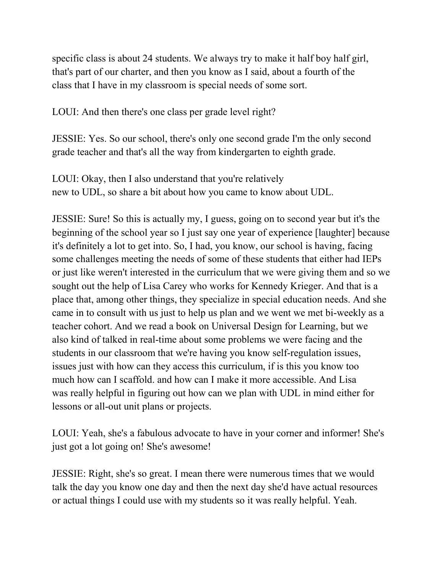specific class is about 24 students. We always try to make it half boy half girl, that's part of our charter, and then you know as I said, about a fourth of the class that I have in my classroom is special needs of some sort.

LOUI: And then there's one class per grade level right?

JESSIE: Yes. So our school, there's only one second grade I'm the only second grade teacher and that's all the way from kindergarten to eighth grade.

LOUI: Okay, then I also understand that you're relatively new to UDL, so share a bit about how you came to know about UDL.

JESSIE: Sure! So this is actually my, I guess, going on to second year but it's the beginning of the school year so I just say one year of experience [laughter] because it's definitely a lot to get into. So, I had, you know, our school is having, facing some challenges meeting the needs of some of these students that either had IEPs or just like weren't interested in the curriculum that we were giving them and so we sought out the help of Lisa Carey who works for Kennedy Krieger. And that is a place that, among other things, they specialize in special education needs. And she came in to consult with us just to help us plan and we went we met bi-weekly as a teacher cohort. And we read a book on Universal Design for Learning, but we also kind of talked in real-time about some problems we were facing and the students in our classroom that we're having you know self-regulation issues, issues just with how can they access this curriculum, if is this you know too much how can I scaffold. and how can I make it more accessible. And Lisa was really helpful in figuring out how can we plan with UDL in mind either for lessons or all-out unit plans or projects.

LOUI: Yeah, she's a fabulous advocate to have in your corner and informer! She's just got a lot going on! She's awesome!

JESSIE: Right, she's so great. I mean there were numerous times that we would talk the day you know one day and then the next day she'd have actual resources or actual things I could use with my students so it was really helpful. Yeah.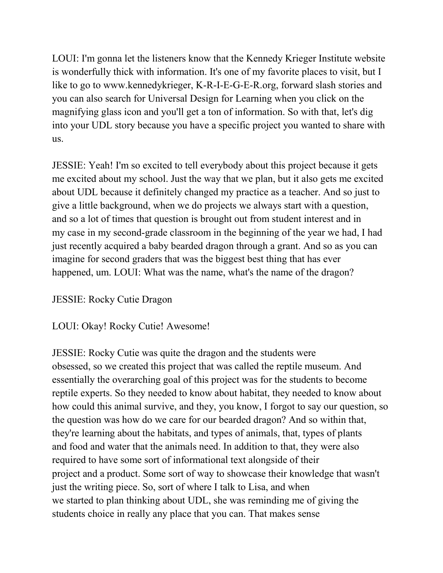LOUI: I'm gonna let the listeners know that the Kennedy Krieger Institute website is wonderfully thick with information. It's one of my favorite places to visit, but I like to go to www.kennedykrieger, K-R-I-E-G-E-R.org, forward slash stories and you can also search for Universal Design for Learning when you click on the magnifying glass icon and you'll get a ton of information. So with that, let's dig into your UDL story because you have a specific project you wanted to share with us.

JESSIE: Yeah! I'm so excited to tell everybody about this project because it gets me excited about my school. Just the way that we plan, but it also gets me excited about UDL because it definitely changed my practice as a teacher. And so just to give a little background, when we do projects we always start with a question, and so a lot of times that question is brought out from student interest and in my case in my second-grade classroom in the beginning of the year we had, I had just recently acquired a baby bearded dragon through a grant. And so as you can imagine for second graders that was the biggest best thing that has ever happened, um. LOUI: What was the name, what's the name of the dragon?

## JESSIE: Rocky Cutie Dragon

## LOUI: Okay! Rocky Cutie! Awesome!

JESSIE: Rocky Cutie was quite the dragon and the students were obsessed, so we created this project that was called the reptile museum. And essentially the overarching goal of this project was for the students to become reptile experts. So they needed to know about habitat, they needed to know about how could this animal survive, and they, you know, I forgot to say our question, so the question was how do we care for our bearded dragon? And so within that, they're learning about the habitats, and types of animals, that, types of plants and food and water that the animals need. In addition to that, they were also required to have some sort of informational text alongside of their project and a product. Some sort of way to showcase their knowledge that wasn't just the writing piece. So, sort of where I talk to Lisa, and when we started to plan thinking about UDL, she was reminding me of giving the students choice in really any place that you can. That makes sense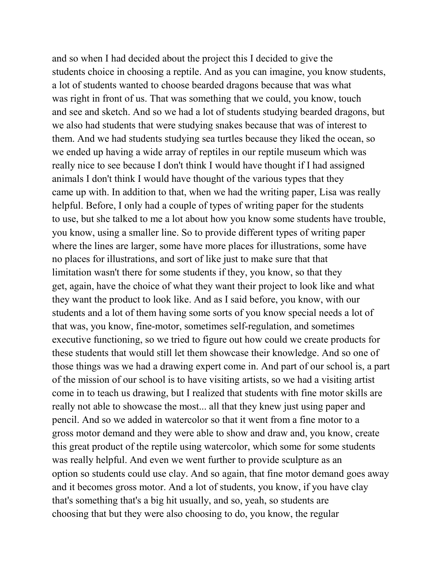and so when I had decided about the project this I decided to give the students choice in choosing a reptile. And as you can imagine, you know students, a lot of students wanted to choose bearded dragons because that was what was right in front of us. That was something that we could, you know, touch and see and sketch. And so we had a lot of students studying bearded dragons, but we also had students that were studying snakes because that was of interest to them. And we had students studying sea turtles because they liked the ocean, so we ended up having a wide array of reptiles in our reptile museum which was really nice to see because I don't think I would have thought if I had assigned animals I don't think I would have thought of the various types that they came up with. In addition to that, when we had the writing paper, Lisa was really helpful. Before, I only had a couple of types of writing paper for the students to use, but she talked to me a lot about how you know some students have trouble, you know, using a smaller line. So to provide different types of writing paper where the lines are larger, some have more places for illustrations, some have no places for illustrations, and sort of like just to make sure that that limitation wasn't there for some students if they, you know, so that they get, again, have the choice of what they want their project to look like and what they want the product to look like. And as I said before, you know, with our students and a lot of them having some sorts of you know special needs a lot of that was, you know, fine-motor, sometimes self-regulation, and sometimes executive functioning, so we tried to figure out how could we create products for these students that would still let them showcase their knowledge. And so one of those things was we had a drawing expert come in. And part of our school is, a part of the mission of our school is to have visiting artists, so we had a visiting artist come in to teach us drawing, but I realized that students with fine motor skills are really not able to showcase the most... all that they knew just using paper and pencil. And so we added in watercolor so that it went from a fine motor to a gross motor demand and they were able to show and draw and, you know, create this great product of the reptile using watercolor, which some for some students was really helpful. And even we went further to provide sculpture as an option so students could use clay. And so again, that fine motor demand goes away and it becomes gross motor. And a lot of students, you know, if you have clay that's something that's a big hit usually, and so, yeah, so students are choosing that but they were also choosing to do, you know, the regular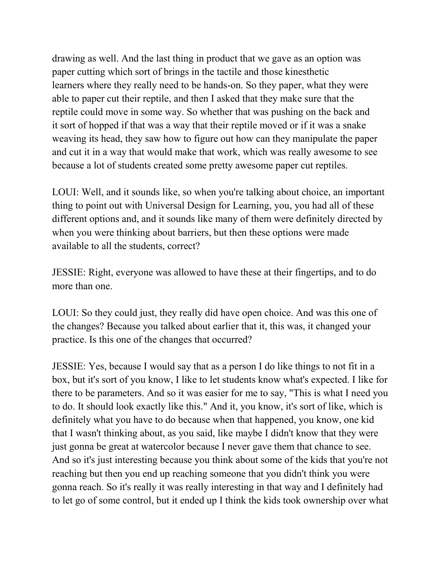drawing as well. And the last thing in product that we gave as an option was paper cutting which sort of brings in the tactile and those kinesthetic learners where they really need to be hands-on. So they paper, what they were able to paper cut their reptile, and then I asked that they make sure that the reptile could move in some way. So whether that was pushing on the back and it sort of hopped if that was a way that their reptile moved or if it was a snake weaving its head, they saw how to figure out how can they manipulate the paper and cut it in a way that would make that work, which was really awesome to see because a lot of students created some pretty awesome paper cut reptiles.

LOUI: Well, and it sounds like, so when you're talking about choice, an important thing to point out with Universal Design for Learning, you, you had all of these different options and, and it sounds like many of them were definitely directed by when you were thinking about barriers, but then these options were made available to all the students, correct?

JESSIE: Right, everyone was allowed to have these at their fingertips, and to do more than one.

LOUI: So they could just, they really did have open choice. And was this one of the changes? Because you talked about earlier that it, this was, it changed your practice. Is this one of the changes that occurred?

JESSIE: Yes, because I would say that as a person I do like things to not fit in a box, but it's sort of you know, I like to let students know what's expected. I like for there to be parameters. And so it was easier for me to say, "This is what I need you to do. It should look exactly like this." And it, you know, it's sort of like, which is definitely what you have to do because when that happened, you know, one kid that I wasn't thinking about, as you said, like maybe I didn't know that they were just gonna be great at watercolor because I never gave them that chance to see. And so it's just interesting because you think about some of the kids that you're not reaching but then you end up reaching someone that you didn't think you were gonna reach. So it's really it was really interesting in that way and I definitely had to let go of some control, but it ended up I think the kids took ownership over what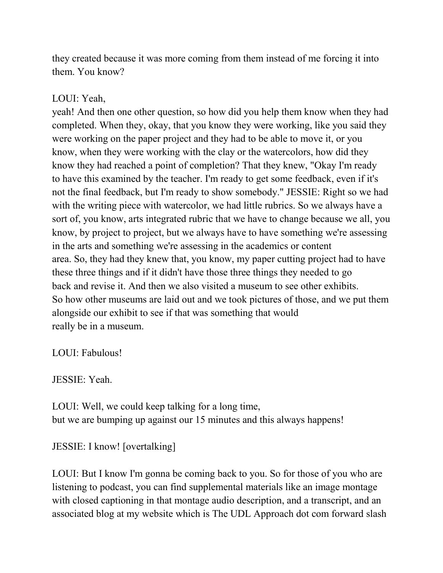they created because it was more coming from them instead of me forcing it into them. You know?

## LOUI: Yeah,

yeah! And then one other question, so how did you help them know when they had completed. When they, okay, that you know they were working, like you said they were working on the paper project and they had to be able to move it, or you know, when they were working with the clay or the watercolors, how did they know they had reached a point of completion? That they knew, "Okay I'm ready to have this examined by the teacher. I'm ready to get some feedback, even if it's not the final feedback, but I'm ready to show somebody." JESSIE: Right so we had with the writing piece with watercolor, we had little rubrics. So we always have a sort of, you know, arts integrated rubric that we have to change because we all, you know, by project to project, but we always have to have something we're assessing in the arts and something we're assessing in the academics or content area. So, they had they knew that, you know, my paper cutting project had to have these three things and if it didn't have those three things they needed to go back and revise it. And then we also visited a museum to see other exhibits. So how other museums are laid out and we took pictures of those, and we put them alongside our exhibit to see if that was something that would really be in a museum.

LOUI: Fabulous!

JESSIE: Yeah.

LOUI: Well, we could keep talking for a long time, but we are bumping up against our 15 minutes and this always happens!

JESSIE: I know! [overtalking]

LOUI: But I know I'm gonna be coming back to you. So for those of you who are listening to podcast, you can find supplemental materials like an image montage with closed captioning in that montage audio description, and a transcript, and an associated blog at my website which is The UDL Approach dot com forward slash